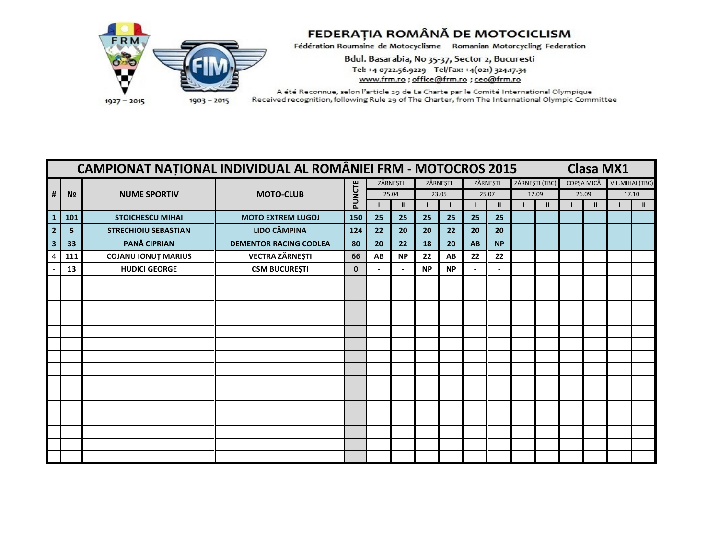

Bdul. Basarabia, No 35-37, Sector 2, Bucuresti Tel: +4-0722.56.9229 Tel/Fax: +4(021) 324.17.34 www.frm.ro ; office@frm.ro ; ceo@frm.ro

|                         |                | CAMPIONAT NAȚIONAL INDIVIDUAL AL ROMÂNIEI FRM - MOTOCROS 2015 |                               |             |          |              |           |               |          |               |                |            | <b>Clasa MX1</b> |                 |
|-------------------------|----------------|---------------------------------------------------------------|-------------------------------|-------------|----------|--------------|-----------|---------------|----------|---------------|----------------|------------|------------------|-----------------|
|                         |                |                                                               |                               |             | ZĂRNEȘTI |              |           | ZĂRNEȘTI      | ZĂRNEȘTI |               | ZĂRNEȘTI (TBC) | COPȘA MICĂ |                  | V.L.MIHAI (TBC) |
| #                       | N <sub>2</sub> | <b>NUME SPORTIV</b>                                           | <b>MOTO-CLUB</b>              | PUNCTE      |          | 25.04        |           | 23.05         |          | 25.07         | 12.09          | 26.09      |                  | 17.10           |
|                         |                |                                                               |                               |             |          | $\mathbf{I}$ |           | $\mathbf{II}$ |          | $\mathbf{II}$ | $\mathbf{I}$   |            | $\mathbf{u}$     | $\mathbf{H}$    |
| $\mathbf{1}$            | 101            | <b>STOICHESCU MIHAI</b>                                       | <b>MOTO EXTREM LUGOJ</b>      | 150         | 25       | 25           | 25        | 25            | 25       | 25            |                |            |                  |                 |
|                         | 5              | <b>STRECHIOIU SEBASTIAN</b>                                   | <b>LIDO CÂMPINA</b>           | 124         | 22       | 20           | 20        | 22            | 20       | 20            |                |            |                  |                 |
| $\overline{\mathbf{3}}$ | 33             | PANĂ CIPRIAN                                                  | <b>DEMENTOR RACING CODLEA</b> | 80          | 20       | 22           | 18        | 20            | AB       | <b>NP</b>     |                |            |                  |                 |
|                         | 111            | <b>COJANU IONUT MARIUS</b>                                    | <b>VECTRA ZĂRNEȘTI</b>        | 66          | AB       | <b>NP</b>    | 22        | AB            | 22       | 22            |                |            |                  |                 |
|                         | 13             | <b>HUDICI GEORGE</b>                                          | <b>CSM BUCUREȘTI</b>          | $\mathbf 0$ |          |              | <b>NP</b> | <b>NP</b>     |          |               |                |            |                  |                 |
|                         |                |                                                               |                               |             |          |              |           |               |          |               |                |            |                  |                 |
|                         |                |                                                               |                               |             |          |              |           |               |          |               |                |            |                  |                 |
|                         |                |                                                               |                               |             |          |              |           |               |          |               |                |            |                  |                 |
|                         |                |                                                               |                               |             |          |              |           |               |          |               |                |            |                  |                 |
|                         |                |                                                               |                               |             |          |              |           |               |          |               |                |            |                  |                 |
|                         |                |                                                               |                               |             |          |              |           |               |          |               |                |            |                  |                 |
|                         |                |                                                               |                               |             |          |              |           |               |          |               |                |            |                  |                 |
|                         |                |                                                               |                               |             |          |              |           |               |          |               |                |            |                  |                 |
|                         |                |                                                               |                               |             |          |              |           |               |          |               |                |            |                  |                 |
|                         |                |                                                               |                               |             |          |              |           |               |          |               |                |            |                  |                 |
|                         |                |                                                               |                               |             |          |              |           |               |          |               |                |            |                  |                 |
|                         |                |                                                               |                               |             |          |              |           |               |          |               |                |            |                  |                 |
|                         |                |                                                               |                               |             |          |              |           |               |          |               |                |            |                  |                 |
|                         |                |                                                               |                               |             |          |              |           |               |          |               |                |            |                  |                 |
|                         |                |                                                               |                               |             |          |              |           |               |          |               |                |            |                  |                 |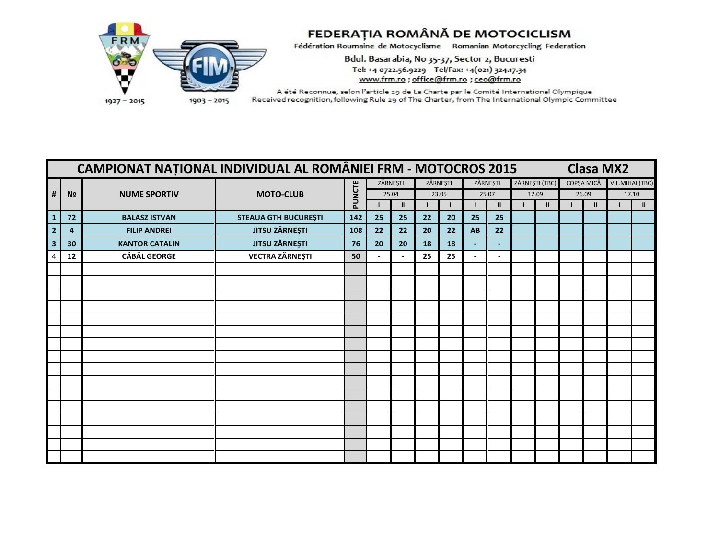

Bdul. Basarabia, No 35-37, Sector 2, Bucuresti Tel: +4-0722.56.9229 Tel/Fax: +4(021) 324.17.34 www.frm.ro ; office@frm.ro ; ceo@frm.ro

|                         |                | <b>CAMPIONAT NAȚIONAL INDIVIDUAL AL ROMÂNIEI FRM - MOTOCROS 2015</b> |                             |        |          |              |    |               |                |                          |                |            | <b>Clasa MX2</b> |                 |
|-------------------------|----------------|----------------------------------------------------------------------|-----------------------------|--------|----------|--------------|----|---------------|----------------|--------------------------|----------------|------------|------------------|-----------------|
|                         |                |                                                                      |                             |        | ZĂRNEȘTI |              |    | ZĂRNEȘTI      | ZĂRNEȘTI       |                          | ZĂRNEȘTI (TBC) | COPȘA MICĂ |                  | V.L.MIHAI (TBC) |
| #                       | N <sub>2</sub> | <b>NUME SPORTIV</b>                                                  | <b>MOTO-CLUB</b>            | PUNCTE |          | 25.04        |    | 23.05         |                | 25.07                    | 12.09          | 26.09      |                  | 17.10           |
|                         |                |                                                                      |                             |        |          | $\mathbf{H}$ |    | $\mathbf{II}$ |                | $\mathbf{II}$            | $\mathbf{I}$   |            | $\mathbf{u}$     | $\mathbf{H}$    |
| $\mathbf{1}$            | 72             | <b>BALASZ ISTVAN</b>                                                 | <b>STEAUA GTH BUCUREȘTI</b> | 142    | 25       | 25           | 22 | 20            | 25             | 25                       |                |            |                  |                 |
| $\overline{2}$          | 4              | <b>FILIP ANDREI</b>                                                  | <b>JITSU ZĂRNEȘTI</b>       | 108    | 22       | 22           | 20 | 22            | AB             | 22                       |                |            |                  |                 |
| $\overline{\mathbf{3}}$ | 30             | <b>KANTOR CATALIN</b>                                                | <b>JITSU ZĂRNEȘTI</b>       | 76     | 20       | 20           | 18 | 18            | $\overline{a}$ | $\overline{\phantom{a}}$ |                |            |                  |                 |
|                         | 12             | <b>CĂBĂL GEORGE</b>                                                  | <b>VECTRA ZĂRNEȘTI</b>      | 50     |          |              | 25 | 25            |                | $\overline{\phantom{a}}$ |                |            |                  |                 |
|                         |                |                                                                      |                             |        |          |              |    |               |                |                          |                |            |                  |                 |
|                         |                |                                                                      |                             |        |          |              |    |               |                |                          |                |            |                  |                 |
|                         |                |                                                                      |                             |        |          |              |    |               |                |                          |                |            |                  |                 |
|                         |                |                                                                      |                             |        |          |              |    |               |                |                          |                |            |                  |                 |
|                         |                |                                                                      |                             |        |          |              |    |               |                |                          |                |            |                  |                 |
|                         |                |                                                                      |                             |        |          |              |    |               |                |                          |                |            |                  |                 |
|                         |                |                                                                      |                             |        |          |              |    |               |                |                          |                |            |                  |                 |
|                         |                |                                                                      |                             |        |          |              |    |               |                |                          |                |            |                  |                 |
|                         |                |                                                                      |                             |        |          |              |    |               |                |                          |                |            |                  |                 |
|                         |                |                                                                      |                             |        |          |              |    |               |                |                          |                |            |                  |                 |
|                         |                |                                                                      |                             |        |          |              |    |               |                |                          |                |            |                  |                 |
|                         |                |                                                                      |                             |        |          |              |    |               |                |                          |                |            |                  |                 |
|                         |                |                                                                      |                             |        |          |              |    |               |                |                          |                |            |                  |                 |
|                         |                |                                                                      |                             |        |          |              |    |               |                |                          |                |            |                  |                 |
|                         |                |                                                                      |                             |        |          |              |    |               |                |                          |                |            |                  |                 |
|                         |                |                                                                      |                             |        |          |              |    |               |                |                          |                |            |                  |                 |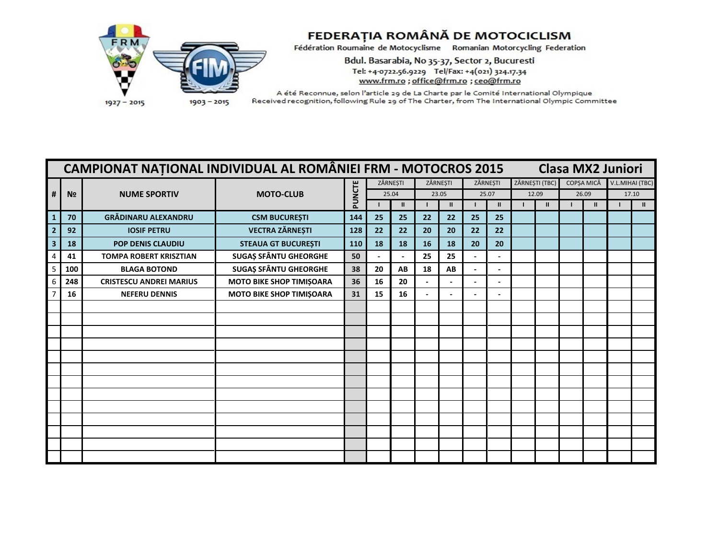

## FEDERAȚIA ROMÂNĂ DE MOTOCICLISM

Fédération Roumaine de Motocyclisme Romanian Motorcycling Federation

Bdul. Basarabia, No 35-37, Sector 2, Bucuresti Tel: +4-0722.56.9229 Tel/Fax: +4(021) 324.17.34 www.frm.ro ; office@frm.ro ; ceo@frm.ro

|   |                | <b>CAMPIONAT NATIONAL INDIVIDUAL AL ROMÂNIEI FRM - MOTOCROS 2015</b> |                                 |        |    |               |          |               |          |              |                |               |            | <b>Clasa MX2 Juniori</b> |                 |              |
|---|----------------|----------------------------------------------------------------------|---------------------------------|--------|----|---------------|----------|---------------|----------|--------------|----------------|---------------|------------|--------------------------|-----------------|--------------|
|   |                |                                                                      |                                 |        |    | ZĂRNEȘTI      | ZĂRNEȘTI |               | ZĂRNEȘTI |              | ZĂRNEȘTI (TBC) |               | COPȘA MICĂ |                          | V.L.MIHAI (TBC) |              |
| # | N <sub>2</sub> | <b>NUME SPORTIV</b>                                                  | <b>MOTO-CLUB</b>                | PUNCTE |    | 25.04         | 23.05    |               | 25.07    |              | 12.09          |               |            | 26.09                    | 17.10           |              |
|   |                |                                                                      |                                 |        |    | $\mathbf{II}$ |          | $\mathbf{II}$ |          | $\mathbf{I}$ |                | $\mathbf{II}$ |            | $\mathbf{II}$            |                 | $\mathbf{u}$ |
|   | 70             | <b>GRĂDINARU ALEXANDRU</b>                                           | <b>CSM BUCUREȘTI</b>            | 144    | 25 | 25            | 22       | 22            | 25       | 25           |                |               |            |                          |                 |              |
|   | 92             | <b>IOSIF PETRU</b>                                                   | <b>VECTRA ZĂRNEȘTI</b>          | 128    | 22 | 22            | 20       | 20            | 22       | 22           |                |               |            |                          |                 |              |
|   | 18             | <b>POP DENIS CLAUDIU</b>                                             | <b>STEAUA GT BUCUREȘTI</b>      | 110    | 18 | 18            | 16       | 18            | 20       | 20           |                |               |            |                          |                 |              |
|   | 41             | <b>TOMPA ROBERT KRISZTIAN</b>                                        | <b>SUGAȘ SFÂNTU GHEORGHE</b>    | 50     |    |               | 25       | 25            |          |              |                |               |            |                          |                 |              |
|   | 100            | <b>BLAGA BOTOND</b>                                                  | <b>SUGAȘ SFÂNTU GHEORGHE</b>    | 38     | 20 | AB            | 18       | AB            |          |              |                |               |            |                          |                 |              |
|   | 248            | <b>CRISTESCU ANDREI MARIUS</b>                                       | MOTO BIKE SHOP TIMIȘOARA        | 36     | 16 | 20            |          |               |          |              |                |               |            |                          |                 |              |
|   | 16             | <b>NEFERU DENNIS</b>                                                 | <b>MOTO BIKE SHOP TIMIȘOARA</b> | 31     | 15 | 16            |          |               |          |              |                |               |            |                          |                 |              |
|   |                |                                                                      |                                 |        |    |               |          |               |          |              |                |               |            |                          |                 |              |
|   |                |                                                                      |                                 |        |    |               |          |               |          |              |                |               |            |                          |                 |              |
|   |                |                                                                      |                                 |        |    |               |          |               |          |              |                |               |            |                          |                 |              |
|   |                |                                                                      |                                 |        |    |               |          |               |          |              |                |               |            |                          |                 |              |
|   |                |                                                                      |                                 |        |    |               |          |               |          |              |                |               |            |                          |                 |              |
|   |                |                                                                      |                                 |        |    |               |          |               |          |              |                |               |            |                          |                 |              |
|   |                |                                                                      |                                 |        |    |               |          |               |          |              |                |               |            |                          |                 |              |
|   |                |                                                                      |                                 |        |    |               |          |               |          |              |                |               |            |                          |                 |              |
|   |                |                                                                      |                                 |        |    |               |          |               |          |              |                |               |            |                          |                 |              |
|   |                |                                                                      |                                 |        |    |               |          |               |          |              |                |               |            |                          |                 |              |
|   |                |                                                                      |                                 |        |    |               |          |               |          |              |                |               |            |                          |                 |              |
|   |                |                                                                      |                                 |        |    |               |          |               |          |              |                |               |            |                          |                 |              |
|   |                |                                                                      |                                 |        |    |               |          |               |          |              |                |               |            |                          |                 |              |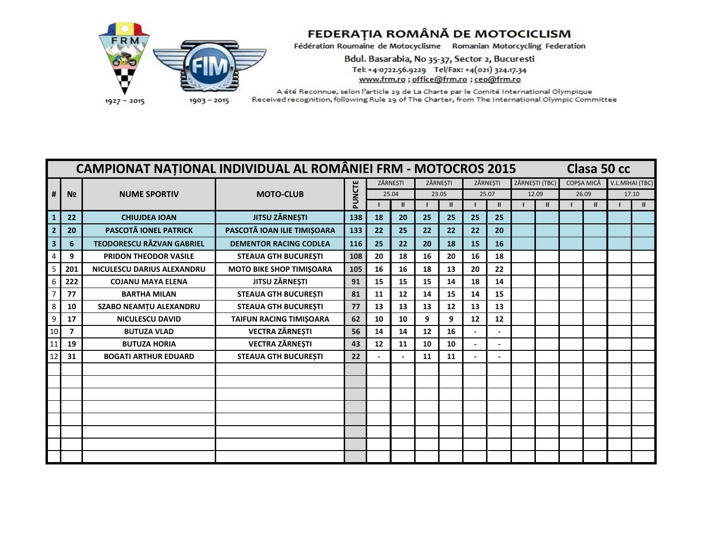

Bdul. Basarabia, No 35-37, Sector 2, Bucuresti Tel: +4-0722.56.9229 Tel/Fax: +4(021) 324.17.34 www.frm.ro ; office@frm.ro ; ceo@frm.ro

|    |                | <b>CAMPIONAT NATIONAL INDIVIDUAL AL ROMÂNIEI FRM - MOTOCROS 2015</b> |                                 |        |    |              |    |              |          |               |                |            |       | Clasa 50 cc |                 |
|----|----------------|----------------------------------------------------------------------|---------------------------------|--------|----|--------------|----|--------------|----------|---------------|----------------|------------|-------|-------------|-----------------|
|    |                |                                                                      |                                 |        |    | ZĂRNESTI     |    | ZĂRNESTI     | ZĂRNESTI |               | ZĂRNEȘTI (TBC) | COPSA MICĂ |       |             | V.L.MIHAI (TBC) |
| #  | N <sub>2</sub> | <b>NUME SPORTIV</b>                                                  | <b>MOTO-CLUB</b>                | PUNCTE |    | 25.04        |    | 23.05        | 25.07    |               | 12.09          |            | 26.09 |             | 17.10           |
|    |                |                                                                      |                                 |        |    | $\mathbf{u}$ |    | $\mathbf{I}$ |          | $\mathbf{II}$ | $\mathbf{II}$  |            |       |             | $\mathbf{II}$   |
|    | 22             | <b>CHIUJDEA IOAN</b>                                                 | <b>JITSU ZĂRNEȘTI</b>           | 138    | 18 | 20           | 25 | 25           | 25       | 25            |                |            |       |             |                 |
|    | 20             | PASCOTĂ IONEL PATRICK                                                | PASCOTĂ IOAN ILIE TIMIȘOARA     | 133    | 22 | 25           | 22 | 22           | 22       | 20            |                |            |       |             |                 |
|    | 6              | <b>TEODORESCU RĂZVAN GABRIEL</b>                                     | <b>DEMENTOR RACING CODLEA</b>   | 116    | 25 | 22           | 20 | 18           | 15       | 16            |                |            |       |             |                 |
|    | 9              | <b>PRIDON THEODOR VASILE</b>                                         | <b>STEAUA GTH BUCURESTI</b>     | 108    | 20 | 18           | 16 | 20           | 16       | 18            |                |            |       |             |                 |
| 5  | 201            | NICULESCU DARIUS ALEXANDRU                                           | <b>MOTO BIKE SHOP TIMIŞOARA</b> | 105    | 16 | 16           | 18 | 13           | 20       | 22            |                |            |       |             |                 |
|    | 222            | <b>COJANU MAYA ELENA</b>                                             | JITSU ZĂRNEȘTI                  | 91     | 15 | 15           | 15 | 14           | 18       | 14            |                |            |       |             |                 |
|    | 77             | <b>BARTHA MILAN</b>                                                  | <b>STEAUA GTH BUCUREȘTI</b>     | 81     | 11 | 12           | 14 | 15           | 14       | 15            |                |            |       |             |                 |
|    | 10             | <b>SZABO NEAMTU ALEXANDRU</b>                                        | <b>STEAUA GTH BUCURESTI</b>     | 77     | 13 | 13           | 13 | 12           | 13       | 13            |                |            |       |             |                 |
|    | 17             | <b>NICULESCU DAVID</b>                                               | TAIFUN RACING TIMIȘOARA         | 62     | 10 | 10           | 9  | 9            | 12       | 12            |                |            |       |             |                 |
| 10 | $\overline{7}$ | <b>BUTUZA VLAD</b>                                                   | <b>VECTRA ZĂRNEȘTI</b>          | 56     | 14 | 14           | 12 | 16           |          |               |                |            |       |             |                 |
|    | 19             | <b>BUTUZA HORIA</b>                                                  | <b>VECTRA ZĂRNEȘTI</b>          | 43     | 12 | 11           | 10 | 10           |          |               |                |            |       |             |                 |
|    | 31             | <b>BOGATI ARTHUR EDUARD</b>                                          | <b>STEAUA GTH BUCURESTI</b>     | 22     |    |              | 11 | 11           |          |               |                |            |       |             |                 |
|    |                |                                                                      |                                 |        |    |              |    |              |          |               |                |            |       |             |                 |
|    |                |                                                                      |                                 |        |    |              |    |              |          |               |                |            |       |             |                 |
|    |                |                                                                      |                                 |        |    |              |    |              |          |               |                |            |       |             |                 |
|    |                |                                                                      |                                 |        |    |              |    |              |          |               |                |            |       |             |                 |
|    |                |                                                                      |                                 |        |    |              |    |              |          |               |                |            |       |             |                 |
|    |                |                                                                      |                                 |        |    |              |    |              |          |               |                |            |       |             |                 |
|    |                |                                                                      |                                 |        |    |              |    |              |          |               |                |            |       |             |                 |
|    |                |                                                                      |                                 |        |    |              |    |              |          |               |                |            |       |             |                 |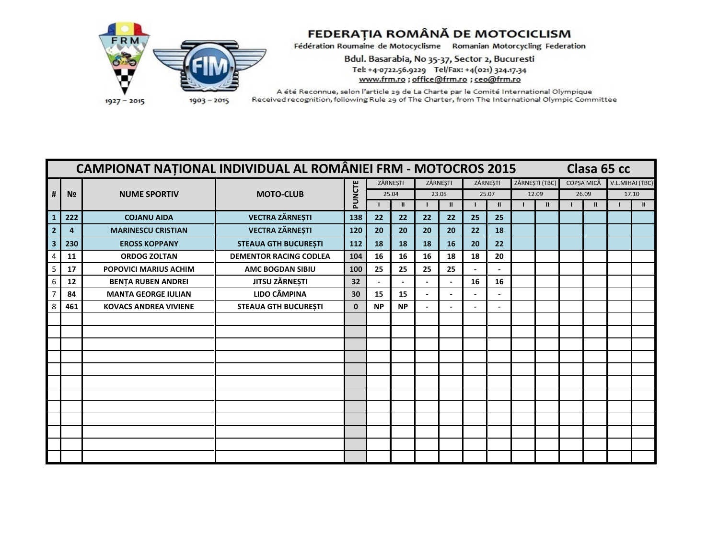

Bdul. Basarabia, No 35-37, Sector 2, Bucuresti Tel: +4-0722.56.9229 Tel/Fax: +4(021) 324.17.34 www.frm.ro ; office@frm.ro ; ceo@frm.ro

|   |                | <b>CAMPIONAT NATIONAL INDIVIDUAL AL ROMÂNIEI FRM - MOTOCROS 2015</b> |                               |              |           |              |                |                |                          |                              |                |            |       | Clasa 65 cc |                 |
|---|----------------|----------------------------------------------------------------------|-------------------------------|--------------|-----------|--------------|----------------|----------------|--------------------------|------------------------------|----------------|------------|-------|-------------|-----------------|
|   |                |                                                                      |                               |              | ZĂRNEȘTI  |              |                | ZĂRNESTI       | ZĂRNESTI                 |                              | ZĂRNEȘTI (TBC) | COPSA MICĂ |       |             | V.L.MIHAI (TBC) |
| # | N <sub>2</sub> | <b>NUME SPORTIV</b>                                                  | <b>MOTO-CLUB</b>              | PUNCTE       |           | 25.04        |                | 23.05          |                          | 25.07                        | 12.09          |            | 26.09 |             | 17.10           |
|   |                |                                                                      |                               |              |           | $\mathbf{H}$ |                | $\mathbf{u}$   |                          | $\mathbf{I}$                 | $\mathbf{I}$   |            | Ш     |             | $\mathbf{H}$    |
|   | 222            | <b>COJANU AIDA</b>                                                   | <b>VECTRA ZĂRNEȘTI</b>        | 138          | 22        | 22           | 22             | 22             | 25                       | 25                           |                |            |       |             |                 |
|   | 4              | <b>MARINESCU CRISTIAN</b>                                            | <b>VECTRA ZĂRNEȘTI</b>        | 120          | 20        | 20           | 20             | 20             | 22                       | 18                           |                |            |       |             |                 |
|   | 230            | <b>EROSS KOPPANY</b>                                                 | <b>STEAUA GTH BUCUREȘTI</b>   | 112          | 18        | 18           | 18             | 16             | 20                       | 22                           |                |            |       |             |                 |
|   | 11             | <b>ORDOG ZOLTAN</b>                                                  | <b>DEMENTOR RACING CODLEA</b> | 104          | 16        | 16           | 16             | 18             | 18                       | 20                           |                |            |       |             |                 |
|   | 17             | <b>POPOVICI MARIUS ACHIM</b>                                         | <b>AMC BOGDAN SIBIU</b>       | 100          | 25        | 25           | 25             | 25             |                          |                              |                |            |       |             |                 |
|   | 12             | <b>BENTA RUBEN ANDREI</b>                                            | JITSU ZĂRNEȘTI                | 32           |           |              |                |                | 16                       | 16                           |                |            |       |             |                 |
|   | 84             | <b>MANTA GEORGE IULIAN</b>                                           | <b>LIDO CÂMPINA</b>           | 30           | 15        | 15           |                |                |                          |                              |                |            |       |             |                 |
|   | 461            | <b>KOVACS ANDREA VIVIENE</b>                                         | <b>STEAUA GTH BUCUREȘTI</b>   | $\mathbf{0}$ | <b>NP</b> | <b>NP</b>    | $\blacksquare$ | $\blacksquare$ | $\overline{\phantom{a}}$ | $\qquad \qquad \blacksquare$ |                |            |       |             |                 |
|   |                |                                                                      |                               |              |           |              |                |                |                          |                              |                |            |       |             |                 |
|   |                |                                                                      |                               |              |           |              |                |                |                          |                              |                |            |       |             |                 |
|   |                |                                                                      |                               |              |           |              |                |                |                          |                              |                |            |       |             |                 |
|   |                |                                                                      |                               |              |           |              |                |                |                          |                              |                |            |       |             |                 |
|   |                |                                                                      |                               |              |           |              |                |                |                          |                              |                |            |       |             |                 |
|   |                |                                                                      |                               |              |           |              |                |                |                          |                              |                |            |       |             |                 |
|   |                |                                                                      |                               |              |           |              |                |                |                          |                              |                |            |       |             |                 |
|   |                |                                                                      |                               |              |           |              |                |                |                          |                              |                |            |       |             |                 |
|   |                |                                                                      |                               |              |           |              |                |                |                          |                              |                |            |       |             |                 |
|   |                |                                                                      |                               |              |           |              |                |                |                          |                              |                |            |       |             |                 |
|   |                |                                                                      |                               |              |           |              |                |                |                          |                              |                |            |       |             |                 |
|   |                |                                                                      |                               |              |           |              |                |                |                          |                              |                |            |       |             |                 |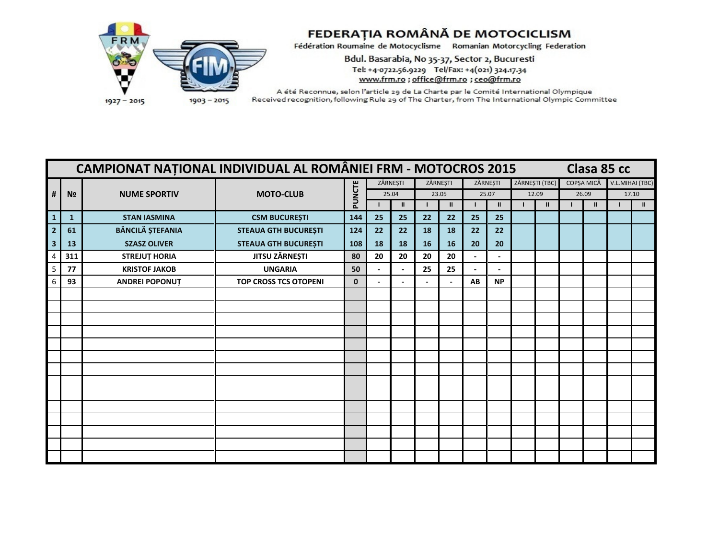

Bdul. Basarabia, No 35-37, Sector 2, Bucuresti Tel: +4-0722.56.9229 Tel/Fax: +4(021) 324.17.34 www.frm.ro ; office@frm.ro ; ceo@frm.ro

|                         |                | <b>CAMPIONAT NATIONAL INDIVIDUAL AL ROMÂNIEI FRM - MOTOCROS 2015</b> |                              |              |          |              |    |               |          |               |                |            |              | Clasa 85 cc     |              |
|-------------------------|----------------|----------------------------------------------------------------------|------------------------------|--------------|----------|--------------|----|---------------|----------|---------------|----------------|------------|--------------|-----------------|--------------|
|                         |                |                                                                      |                              |              | ZĂRNEȘTI |              |    | ZĂRNEȘTI      | ZĂRNEȘTI |               | ZĂRNEȘTI (TBC) | COPȘA MICĂ |              | V.L.MIHAI (TBC) |              |
| #                       | N <sub>2</sub> | <b>NUME SPORTIV</b>                                                  | <b>MOTO-CLUB</b>             | PUNCTE       |          | 25.04        |    | 23.05         |          | 25.07         | 12.09          | 26.09      |              |                 | 17.10        |
|                         |                |                                                                      |                              |              |          | $\mathbf{H}$ |    | $\mathbf{II}$ |          | $\mathbf{II}$ | $\mathbf{I}$   |            | $\mathbf{u}$ |                 | $\mathbf{H}$ |
| $\mathbf{1}$            | $\mathbf{1}$   | <b>STAN IASMINA</b>                                                  | <b>CSM BUCUREȘTI</b>         | 144          | 25       | 25           | 22 | 22            | 25       | 25            |                |            |              |                 |              |
|                         | 61             | <b>BĂNCILĂ ȘTEFANIA</b>                                              | <b>STEAUA GTH BUCUREȘTI</b>  | 124          | 22       | 22           | 18 | 18            | 22       | 22            |                |            |              |                 |              |
| $\overline{\mathbf{3}}$ | 13             | <b>SZASZ OLIVER</b>                                                  | <b>STEAUA GTH BUCUREȘTI</b>  | 108          | 18       | 18           | 16 | 16            | 20       | 20            |                |            |              |                 |              |
|                         | 311            | <b>STREJUT HORIA</b>                                                 | <b>JITSU ZÄRNEȘTI</b>        | 80           | 20       | 20           | 20 | 20            |          |               |                |            |              |                 |              |
| 5                       | 77             | <b>KRISTOF JAKOB</b>                                                 | <b>UNGARIA</b>               | 50           |          |              | 25 | 25            |          |               |                |            |              |                 |              |
|                         | 93             | <b>ANDREI POPONUT</b>                                                | <b>TOP CROSS TCS OTOPENI</b> | $\mathbf{0}$ |          |              |    |               | AB       | <b>NP</b>     |                |            |              |                 |              |
|                         |                |                                                                      |                              |              |          |              |    |               |          |               |                |            |              |                 |              |
|                         |                |                                                                      |                              |              |          |              |    |               |          |               |                |            |              |                 |              |
|                         |                |                                                                      |                              |              |          |              |    |               |          |               |                |            |              |                 |              |
|                         |                |                                                                      |                              |              |          |              |    |               |          |               |                |            |              |                 |              |
|                         |                |                                                                      |                              |              |          |              |    |               |          |               |                |            |              |                 |              |
|                         |                |                                                                      |                              |              |          |              |    |               |          |               |                |            |              |                 |              |
|                         |                |                                                                      |                              |              |          |              |    |               |          |               |                |            |              |                 |              |
|                         |                |                                                                      |                              |              |          |              |    |               |          |               |                |            |              |                 |              |
|                         |                |                                                                      |                              |              |          |              |    |               |          |               |                |            |              |                 |              |
|                         |                |                                                                      |                              |              |          |              |    |               |          |               |                |            |              |                 |              |
|                         |                |                                                                      |                              |              |          |              |    |               |          |               |                |            |              |                 |              |
|                         |                |                                                                      |                              |              |          |              |    |               |          |               |                |            |              |                 |              |
|                         |                |                                                                      |                              |              |          |              |    |               |          |               |                |            |              |                 |              |
|                         |                |                                                                      |                              |              |          |              |    |               |          |               |                |            |              |                 |              |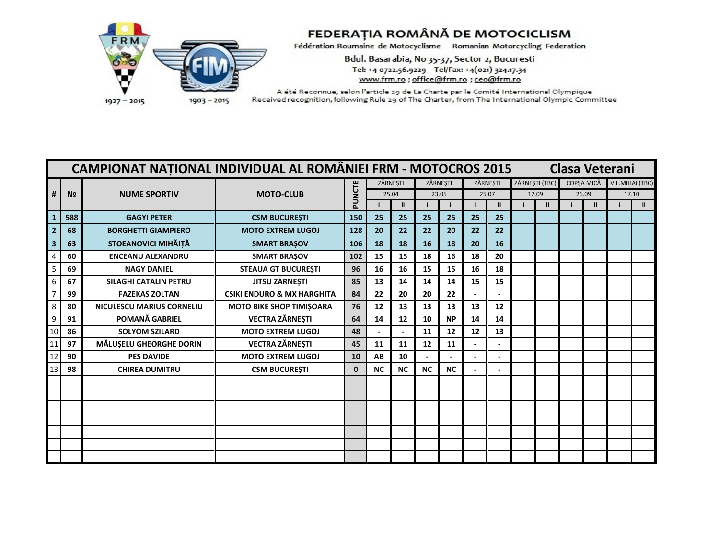

Bdul. Basarabia, No 35-37, Sector 2, Bucuresti Tel: +4-0722.56.9229 Tel/Fax: +4(021) 324.17.34 www.frm.ro ; office@frm.ro ; ceo@frm.ro

|                         | <b>CAMPIONAT NATIONAL INDIVIDUAL AL ROMÂNIEI FRM - MOTOCROS 2015</b><br><b>Clasa Veterani</b><br>ZĂRNESTI (TBC)<br>V.L.MIHAI (TBC)<br>ZĂRNESTI<br>ZĂRNESTI<br>ZĂRNESTI<br>COPSA MICĂ |                                  |                                       |              |           |              |           |               |                |               |  |               |  |       |  |               |
|-------------------------|--------------------------------------------------------------------------------------------------------------------------------------------------------------------------------------|----------------------------------|---------------------------------------|--------------|-----------|--------------|-----------|---------------|----------------|---------------|--|---------------|--|-------|--|---------------|
|                         |                                                                                                                                                                                      |                                  |                                       |              |           |              |           |               |                |               |  |               |  |       |  |               |
| #                       | N <sub>2</sub>                                                                                                                                                                       | <b>NUME SPORTIV</b>              | <b>MOTO-CLUB</b>                      | PUNCTE       |           | 25.04        | 23.05     |               |                | 25.07         |  | 12.09         |  | 26.09 |  | 17.10         |
|                         |                                                                                                                                                                                      |                                  |                                       |              |           | $\mathbf{u}$ |           | $\mathbf{II}$ |                | $\mathbf{II}$ |  | $\mathbf{II}$ |  |       |  | $\mathbf{II}$ |
|                         | 588                                                                                                                                                                                  | <b>GAGYI PETER</b>               | <b>CSM BUCURESTI</b>                  | 150          | 25        | 25           | 25        | 25            | 25             | 25            |  |               |  |       |  |               |
|                         | 68                                                                                                                                                                                   | <b>BORGHETTI GIAMPIERO</b>       | <b>MOTO EXTREM LUGOJ</b>              | 128          | 20        | 22           | 22        | 20            | 22             | 22            |  |               |  |       |  |               |
| $\overline{\mathbf{3}}$ | 63                                                                                                                                                                                   | STOEANOVICI MIHĂIȚĂ              | <b>SMART BRAŞOV</b>                   | 106          | 18        | 18           | 16        | 18            | 20             | 16            |  |               |  |       |  |               |
|                         | 60                                                                                                                                                                                   | <b>ENCEANU ALEXANDRU</b>         | <b>SMART BRAŞOV</b>                   | 102          | 15        | 15           | 18        | 16            | 18             | 20            |  |               |  |       |  |               |
|                         | 69                                                                                                                                                                                   | <b>NAGY DANIEL</b>               | <b>STEAUA GT BUCUREȘTI</b>            | 96           | 16        | 16           | 15        | 15            | 16             | 18            |  |               |  |       |  |               |
|                         | 67                                                                                                                                                                                   | <b>SILAGHI CATALIN PETRU</b>     | <b>JITSU ZÄRNESTI</b>                 | 85           | 13        | 14           | 14        | 14            | 15             | 15            |  |               |  |       |  |               |
|                         | 99                                                                                                                                                                                   | <b>FAZEKAS ZOLTAN</b>            | <b>CSIKI ENDURO &amp; MX HARGHITA</b> | 84           | 22        | 20           | 20        | 22            |                |               |  |               |  |       |  |               |
|                         | 80                                                                                                                                                                                   | <b>NICULESCU MARIUS CORNELIU</b> | <b>MOTO BIKE SHOP TIMIȘOARA</b>       | 76           | 12        | 13           | 13        | 13            | 13             | 12            |  |               |  |       |  |               |
|                         | 91                                                                                                                                                                                   | POMANĂ GABRIEL                   | <b>VECTRA ZĂRNEȘTI</b>                | 64           | 14        | 12           | 10        | <b>NP</b>     | 14             | 14            |  |               |  |       |  |               |
|                         | 86                                                                                                                                                                                   | <b>SOLYOM SZILARD</b>            | <b>MOTO EXTREM LUGOJ</b>              | 48           |           |              | 11        | 12            | 12             | 13            |  |               |  |       |  |               |
|                         | 97                                                                                                                                                                                   | MĂLUȘELU GHEORGHE DORIN          | <b>VECTRA ZĂRNEȘTI</b>                | 45           | 11        | 11           | 12        | 11            |                |               |  |               |  |       |  |               |
| 12                      | 90                                                                                                                                                                                   | <b>PES DAVIDE</b>                | <b>MOTO EXTREM LUGOJ</b>              | 10           | AB        | 10           |           |               | $\overline{a}$ |               |  |               |  |       |  |               |
| 13                      | 98                                                                                                                                                                                   | <b>CHIREA DUMITRU</b>            | <b>CSM BUCUREȘTI</b>                  | $\mathbf{0}$ | <b>NC</b> | <b>NC</b>    | <b>NC</b> | <b>NC</b>     |                |               |  |               |  |       |  |               |
|                         |                                                                                                                                                                                      |                                  |                                       |              |           |              |           |               |                |               |  |               |  |       |  |               |
|                         |                                                                                                                                                                                      |                                  |                                       |              |           |              |           |               |                |               |  |               |  |       |  |               |
|                         |                                                                                                                                                                                      |                                  |                                       |              |           |              |           |               |                |               |  |               |  |       |  |               |
|                         |                                                                                                                                                                                      |                                  |                                       |              |           |              |           |               |                |               |  |               |  |       |  |               |
|                         |                                                                                                                                                                                      |                                  |                                       |              |           |              |           |               |                |               |  |               |  |       |  |               |
|                         |                                                                                                                                                                                      |                                  |                                       |              |           |              |           |               |                |               |  |               |  |       |  |               |
|                         |                                                                                                                                                                                      |                                  |                                       |              |           |              |           |               |                |               |  |               |  |       |  |               |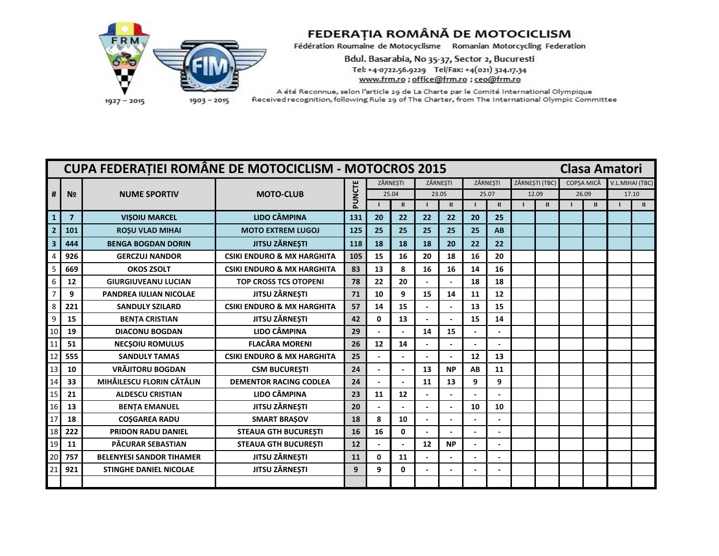

Bdul. Basarabia, No 35-37, Sector 2, Bucuresti Tel: +4-0722.56.9229 Tel/Fax: +4(021) 324.17.34 www.frm.ro ; office@frm.ro ; ceo@frm.ro

|                 |                | CUPA FEDERAȚIEI ROMÂNE DE MOTOCICLISM - MOTOCROS 2015 |                                       |        |              |               |        |               |          |              |                |               |                   |               | <b>Clasa Amatori</b> |                 |
|-----------------|----------------|-------------------------------------------------------|---------------------------------------|--------|--------------|---------------|--------|---------------|----------|--------------|----------------|---------------|-------------------|---------------|----------------------|-----------------|
|                 |                |                                                       |                                       |        |              | ZĂRNESTI      |        | ZĂRNESTI      | ZĂRNESTI |              | ZĂRNESTI (TBC) |               | <b>COPSA MICĂ</b> |               |                      | V.L.MIHAI (TBC) |
| #               | N <sub>2</sub> | <b>NUME SPORTIV</b>                                   | <b>MOTO-CLUB</b>                      | PUNCTE |              | 25.04         | 23.05  |               | 25.07    |              | 12.09          |               | 26.09             |               |                      | 17.10           |
|                 |                |                                                       |                                       |        |              | $\mathbf{II}$ |        | $\mathbf{II}$ |          | $\mathbf{u}$ |                | $\mathbf{II}$ |                   | $\mathbf{II}$ |                      | $\mathbf{H}$    |
| $\mathbf{1}$    | $\overline{7}$ | <b>VISOIU MARCEL</b>                                  | <b>LIDO CÂMPINA</b>                   | 131    | 20           | 22            | 22     | 22            | 20       | 25           |                |               |                   |               |                      |                 |
| $\overline{2}$  | 101            | <b>ROSU VLAD MIHAI</b>                                | <b>MOTO EXTREM LUGOJ</b>              | 125    | 25           | 25            | 25     | 25            | 25       | AB           |                |               |                   |               |                      |                 |
|                 | 444            | <b>BENGA BOGDAN DORIN</b>                             | <b>JITSU ZĂRNEȘTI</b>                 | 118    | 18           | 18            | 18     | 20            | 22       | 22           |                |               |                   |               |                      |                 |
|                 | 926            | <b>GERCZUJ NANDOR</b>                                 | <b>CSIKI ENDURO &amp; MX HARGHITA</b> | 105    | 15           | 16            | 20     | 18            | 16       | 20           |                |               |                   |               |                      |                 |
|                 | 669            | <b>OKOS ZSOLT</b>                                     | <b>CSIKI ENDURO &amp; MX HARGHITA</b> | 83     | 13           | 8             | 16     | 16            | 14       | 16           |                |               |                   |               |                      |                 |
|                 | 12             | <b>GIURGIUVEANU LUCIAN</b>                            | <b>TOP CROSS TCS OTOPENI</b>          | 78     | 22           | 20            |        |               | 18       | 18           |                |               |                   |               |                      |                 |
|                 | 9              | <b>PANDREA IULIAN NICOLAE</b>                         | JITSU ZĂRNEȘTI                        | 71     | 10           | 9             | 15     | 14            | 11       | 12           |                |               |                   |               |                      |                 |
|                 | 221            | <b>SANDULY SZILARD</b>                                | <b>CSIKI ENDURO &amp; MX HARGHITA</b> | 57     | 14           | 15            |        |               | 13       | 15           |                |               |                   |               |                      |                 |
| $\mathbf{q}$    | 15             | <b>BENTA CRISTIAN</b>                                 | JITSU ZĂRNEȘTI                        | 42     | $\mathbf{0}$ | 13            |        |               | 15       | 14           |                |               |                   |               |                      |                 |
| 10              | 19             | <b>DIACONU BOGDAN</b>                                 | <b>LIDO CÂMPINA</b>                   | 29     |              |               | 14     | 15            |          |              |                |               |                   |               |                      |                 |
|                 | 51             | <b>NECSOIU ROMULUS</b>                                | <b>FLACĂRA MORENI</b>                 | 26     | 12           | 14            |        |               |          |              |                |               |                   |               |                      |                 |
| 12              | 555            | <b>SANDULY TAMAS</b>                                  | <b>CSIKI ENDURO &amp; MX HARGHITA</b> | 25     |              |               |        |               | 12       | 13           |                |               |                   |               |                      |                 |
| 13              | 10             | <b>VRÄJITORU BOGDAN</b>                               | <b>CSM BUCURESTI</b>                  | 24     |              |               | 13     | <b>NP</b>     | AB       | 11           |                |               |                   |               |                      |                 |
| 14              | 33             | MIHĂILESCU FLORIN CĂTĂLIN                             | <b>DEMENTOR RACING CODLEA</b>         | 24     |              |               | 11     | 13            | 9        | 9            |                |               |                   |               |                      |                 |
| 15              | 21             | <b>ALDESCU CRISTIAN</b>                               | <b>LIDO CÂMPINA</b>                   | 23     | 11           | 12            |        |               |          |              |                |               |                   |               |                      |                 |
| 16              | 13             | <b>BENȚA EMANUEL</b>                                  | JITSU ZĂRNEȘTI                        | 20     |              |               | $\sim$ |               | 10       | 10           |                |               |                   |               |                      |                 |
| 17              | 18             | <b>COSGAREA RADU</b>                                  | <b>SMART BRAŞOV</b>                   | 18     | 8            | 10            |        |               |          |              |                |               |                   |               |                      |                 |
| 18              | 222            | <b>PRIDON RADU DANIEL</b>                             | <b>STEAUA GTH BUCURESTI</b>           | 16     | 16           | 0             |        |               |          |              |                |               |                   |               |                      |                 |
| 19              | 11             | PĂCURAR SEBASTIAN                                     | <b>STEAUA GTH BUCURESTI</b>           | 12     |              |               | 12     | <b>NP</b>     |          |              |                |               |                   |               |                      |                 |
| $\overline{2}C$ | 757            | <b>BELENYESI SANDOR TIHAMER</b>                       | JITSU ZĂRNEȘTI                        | 11     | $\mathbf{0}$ | 11            |        |               |          |              |                |               |                   |               |                      |                 |
| 21              | 921            | <b>STINGHE DANIEL NICOLAE</b>                         | <b>JITSU ZÄRNESTI</b>                 | 9      | 9            | 0             |        |               |          |              |                |               |                   |               |                      |                 |
|                 |                |                                                       |                                       |        |              |               |        |               |          |              |                |               |                   |               |                      |                 |